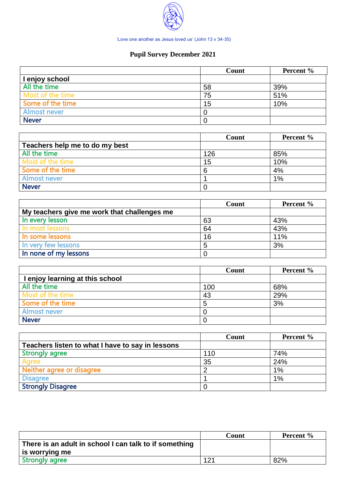

'Love one another as Jesus loved us' (John 13 v 34-35)

## **Pupil Survey December 2021**

|                  | Count | Percent % |
|------------------|-------|-----------|
| I enjoy school   |       |           |
| All the time     | 58    | 39%       |
| Most of the time | 75    | 51%       |
| Some of the time | 15    | 10%       |
| Almost never     | O     |           |
| <b>Never</b>     | 0     |           |

|                                | Count | Percent % |
|--------------------------------|-------|-----------|
| Teachers help me to do my best |       |           |
| All the time                   | 126   | 85%       |
| Most of the time               | 15    | 10%       |
| Some of the time               | 6     | 4%        |
| <b>Almost never</b>            |       | $1\%$     |
| <b>Never</b>                   |       |           |

|                                             | Count | Percent % |
|---------------------------------------------|-------|-----------|
| My teachers give me work that challenges me |       |           |
| In every lesson                             | 63    | 43%       |
| In most lessons                             | 64    | 43%       |
| In some lessons                             | 16    | 11%       |
| In very few lessons                         |       | 3%        |
| In none of my lessons                       |       |           |

|                                 | Count | Percent % |
|---------------------------------|-------|-----------|
| I enjoy learning at this school |       |           |
| All the time                    | 100   | 68%       |
| Most of the time                | 43    | 29%       |
| Some of the time                |       | 3%        |
| Almost never                    |       |           |
| <b>Never</b>                    |       |           |

|                                                  | Count | Percent % |
|--------------------------------------------------|-------|-----------|
| Teachers listen to what I have to say in lessons |       |           |
| <b>Strongly agree</b>                            | 110   | 74%       |
| Aaree                                            | 35    | 24%       |
| Neither agree or disagree                        |       | 1%        |
| <b>Disagree</b>                                  |       | $1\%$     |
| <b>Strongly Disagree</b>                         |       |           |

|                                                        | Count | Percent % |
|--------------------------------------------------------|-------|-----------|
| There is an adult in school I can talk to if something |       |           |
| is worrying me                                         |       |           |
| <b>Strongly agree</b>                                  | 121   | 82%       |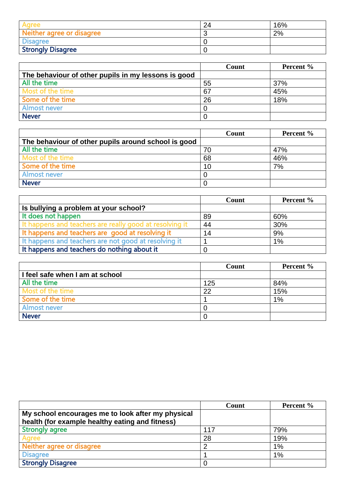| Agree                     | 24 | 16% |
|---------------------------|----|-----|
| Neither agree or disagree |    | 2%  |
| <b>Disagree</b>           |    |     |
| <b>Strongly Disagree</b>  |    |     |

|                                                     | Count | Percent % |
|-----------------------------------------------------|-------|-----------|
| The behaviour of other pupils in my lessons is good |       |           |
| All the time                                        | 55    | 37%       |
| Most of the time                                    | 67    | 45%       |
| Some of the time                                    | 26    | 18%       |
| Almost never                                        |       |           |
| <b>Never</b>                                        |       |           |

|                                                     | Count | <b>Percent</b> % |
|-----------------------------------------------------|-------|------------------|
| The behaviour of other pupils around school is good |       |                  |
| All the time                                        | 70    | 47%              |
| Most of the time                                    | 68    | 46%              |
| Some of the time                                    | 10    | 7%               |
| <b>Almost never</b>                                 |       |                  |
| <b>Never</b>                                        |       |                  |

|                                                         | Count | Percent % |
|---------------------------------------------------------|-------|-----------|
| Is bullying a problem at your school?                   |       |           |
| It does not happen                                      | 89    | 60%       |
| It happens and teachers are really good at resolving it | 44    | 30%       |
| It happens and teachers are good at resolving it        | 14    | 9%        |
| It happens and teachers are not good at resolving it    |       | 1%        |
| It happens and teachers do nothing about it             |       |           |

|                                 | Count | Percent % |
|---------------------------------|-------|-----------|
| I feel safe when I am at school |       |           |
| All the time                    | 125   | 84%       |
| Most of the time                | 22    | 15%       |
| Some of the time                |       | 1%        |
| <b>Almost never</b>             |       |           |
| <b>Never</b>                    |       |           |

|                                                                                                      | Count | Percent % |
|------------------------------------------------------------------------------------------------------|-------|-----------|
| My school encourages me to look after my physical<br>health (for example healthy eating and fitness) |       |           |
| <b>Strongly agree</b>                                                                                | 117   | 79%       |
| Agree                                                                                                | 28    | 19%       |
| Neither agree or disagree                                                                            |       | 1%        |
| <b>Disagree</b>                                                                                      |       | $1\%$     |
| <b>Strongly Disagree</b>                                                                             |       |           |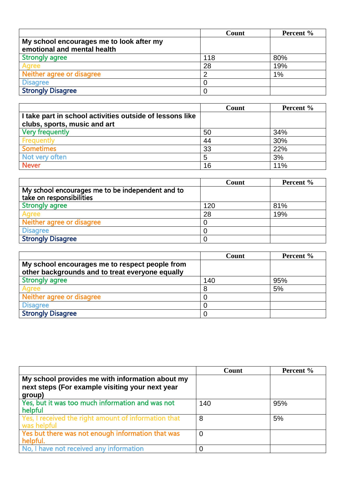|                                                                         | Count | Percent % |
|-------------------------------------------------------------------------|-------|-----------|
| My school encourages me to look after my<br>emotional and mental health |       |           |
| <b>Strongly agree</b>                                                   | 118   | 80%       |
| Agree                                                                   | 28    | 19%       |
| Neither agree or disagree                                               |       | 1%        |
| <b>Disagree</b>                                                         |       |           |
| <b>Strongly Disagree</b>                                                |       |           |

|                                                          | Count | Percent % |
|----------------------------------------------------------|-------|-----------|
| I take part in school activities outside of lessons like |       |           |
| clubs, sports, music and art                             |       |           |
| <b>Very frequently</b>                                   | 50    | 34%       |
| Frequently                                               | 44    | 30%       |
| <b>Sometimes</b>                                         | 33    | 22%       |
| Not very often                                           | 5     | 3%        |
| <b>Never</b>                                             | 16    | 11%       |

|                                                                              | Count | Percent % |
|------------------------------------------------------------------------------|-------|-----------|
| My school encourages me to be independent and to<br>take on responsibilities |       |           |
| <b>Strongly agree</b>                                                        | 120   | 81%       |
| Agree                                                                        | 28    | 19%       |
| Neither agree or disagree                                                    |       |           |
| <b>Disagree</b>                                                              |       |           |
| <b>Strongly Disagree</b>                                                     |       |           |

|                                                                                                   | Count | Percent % |
|---------------------------------------------------------------------------------------------------|-------|-----------|
| My school encourages me to respect people from<br>other backgrounds and to treat everyone equally |       |           |
| <b>Strongly agree</b>                                                                             | 140   | 95%       |
| Agree                                                                                             | 8     | 5%        |
| Neither agree or disagree                                                                         |       |           |
| <b>Disagree</b>                                                                                   |       |           |
| <b>Strongly Disagree</b>                                                                          |       |           |

|                                                                                                    | Count          | Percent % |
|----------------------------------------------------------------------------------------------------|----------------|-----------|
| My school provides me with information about my<br>next steps (For example visiting your next year |                |           |
| group)                                                                                             |                |           |
| Yes, but it was too much information and was not<br>helpful                                        | 140            | 95%       |
| Yes, I received the right amount of information that<br>was helpful                                | 8              | 5%        |
| Yes but there was not enough information that was<br>helpful.                                      | $\overline{0}$ |           |
| No, I have not received any information                                                            |                |           |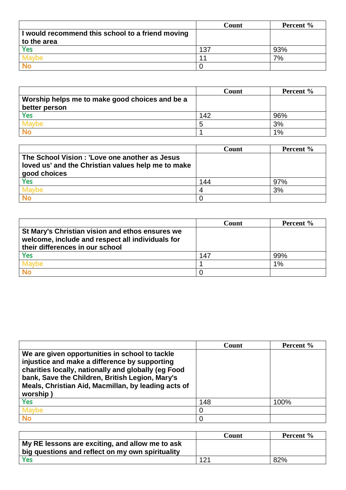|                                                  | Count | Percent % |
|--------------------------------------------------|-------|-----------|
| I would recommend this school to a friend moving |       |           |
| to the area                                      |       |           |
| <b>Yes</b>                                       | 137   | 93%       |
| MEMOE                                            | 1     | 7%        |
|                                                  |       |           |

|                                                | Count | Percent % |
|------------------------------------------------|-------|-----------|
| Worship helps me to make good choices and be a |       |           |
| better person                                  |       |           |
| <b>Yes</b>                                     | 142   | 96%       |
| Mavhe                                          |       | 3%        |
|                                                |       | 1%        |

|                                                                                                     | Count | Percent % |
|-----------------------------------------------------------------------------------------------------|-------|-----------|
| The School Vision: 'Love one another as Jesus<br>loved us' and the Christian values help me to make |       |           |
| good choices                                                                                        |       |           |
| <b>Yes</b>                                                                                          | 144   | 97%       |
| Maybe                                                                                               |       | 3%        |
|                                                                                                     |       |           |

|                                                                                                                                        | Count | Percent % |
|----------------------------------------------------------------------------------------------------------------------------------------|-------|-----------|
| St Mary's Christian vision and ethos ensures we<br>welcome, include and respect all individuals for<br>their differences in our school |       |           |
| Yes                                                                                                                                    | 147   | 99%       |
|                                                                                                                                        |       | 1%        |
|                                                                                                                                        |       |           |

|                                                                                                                                                                                                                                                                              | Count | Percent % |
|------------------------------------------------------------------------------------------------------------------------------------------------------------------------------------------------------------------------------------------------------------------------------|-------|-----------|
| We are given opportunities in school to tackle<br>injustice and make a difference by supporting<br>charities locally, nationally and globally (eg Food<br>bank, Save the Children, British Legion, Mary's<br>Meals, Christian Aid, Macmillan, by leading acts of<br>worship) |       |           |
| Yes                                                                                                                                                                                                                                                                          | 148   | 100%      |
| <b>Maybe</b>                                                                                                                                                                                                                                                                 | O     |           |
| <b>No</b>                                                                                                                                                                                                                                                                    | 0     |           |

|                                                  | Count | <b>Percent</b> % |
|--------------------------------------------------|-------|------------------|
| My RE lessons are exciting, and allow me to ask  |       |                  |
| big questions and reflect on my own spirituality |       |                  |
| Yes                                              | 121   | 82%              |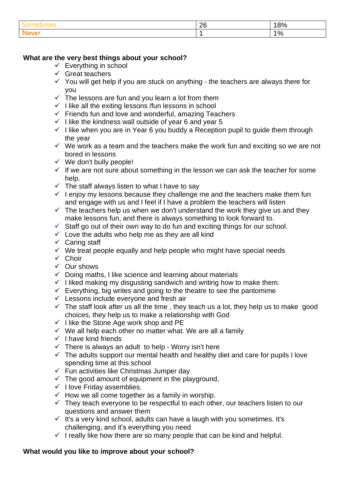|      | ንድ<br>∠∪ | 00/<br>70<br>∼ |
|------|----------|----------------|
| NAVA |          | 10/<br>л<br>70 |

## **What are the very best things about your school?**

- $\checkmark$  Everything in school
- $\checkmark$  Great teachers
- $\checkmark$  You will get help if you are stuck on anything the teachers are always there for you
- $\checkmark$  The lessons are fun and you learn a lot from them
- $\checkmark$  I like all the exiting lessons /fun lessons in school
- $\checkmark$  Friends fun and love and wonderful, amazing Teachers
- $\checkmark$  I like the kindness wall outside of year 6 and year 5
- $\checkmark$  I like when you are in Year 6 you buddy a Reception pupil to guide them through the year
- $\checkmark$  We work as a team and the teachers make the work fun and exciting so we are not bored in lessons
- $\checkmark$  We don't bully people!
- $\checkmark$  If we are not sure about something in the lesson we can ask the teacher for some help.
- $\checkmark$  The staff always listen to what I have to say
- $\checkmark$  I enjoy my lessons because they challenge me and the teachers make them fun and engage with us and I feel if I have a problem the teachers will listen
- $\checkmark$  The teachers help us when we don't understand the work they give us and they make lessons fun, and there is always something to look forward to.
- $\checkmark$  Staff go out of their own way to do fun and exciting things for our school.
- $\checkmark$  Love the adults who help me as they are all kind
- $\checkmark$  Caring staff
- $\checkmark$  We treat people equally and help people who might have special needs
- ✓ Choir
- ✓ Our shows
- ✓ Doing maths, I like science and learning about materials
- $\checkmark$  I liked making my disgusting sandwich and writing how to make them.
- $\checkmark$  Everything, big writes and going to the theatre to see the pantomime
- $\checkmark$  Lessons include everyone and fresh air
- $\checkmark$  The staff look after us all the time, they teach us a lot, they help us to make good choices, they help us to make a relationship with God
- $\checkmark$  I like the Stone Age work shop and PE
- $\checkmark$  We all help each other no matter what. We are all a family
- $\checkmark$  I have kind friends
- $\checkmark$  There is always an adult to help Worry isn't here
- $\checkmark$  The adults support our mental health and healthy diet and care for pupils I love spending time at this school
- $\checkmark$  Fun activities like Christmas Jumper day
- $\checkmark$  The good amount of equipment in the playground,
- ✓ I love Friday assemblies.
- $\checkmark$  How we all come together as a family in worship.
- $\checkmark$  They teach everyone to be respectful to each other, our teachers listen to our questions and answer them
- $\checkmark$  It's a very kind school, adults can have a laugh with you sometimes. It's challenging, and it's everything you need
- $\checkmark$  I really like how there are so many people that can be kind and helpful.

## **What would you like to improve about your school?**